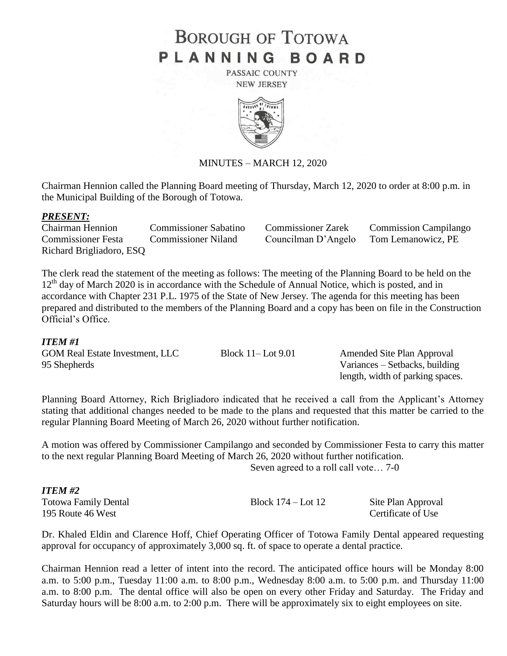# **BOROUGH OF TOTOWA** PLANNING BOARD

PASSAIC COUNTY **NEW JERSEY** 



#### MINUTES – MARCH 12, 2020

Chairman Hennion called the Planning Board meeting of Thursday, March 12, 2020 to order at 8:00 p.m. in the Municipal Building of the Borough of Totowa.

#### *PRESENT:*

Chairman Hennion Commissioner Sabatino Commissioner Zarek Commission Campilango Commissioner Festa Commissioner Niland Councilman D'Angelo Tom Lemanowicz, PE Richard Brigliadoro, ESQ

The clerk read the statement of the meeting as follows: The meeting of the Planning Board to be held on the 12<sup>th</sup> day of March 2020 is in accordance with the Schedule of Annual Notice, which is posted, and in accordance with Chapter 231 P.L. 1975 of the State of New Jersey. The agenda for this meeting has been prepared and distributed to the members of the Planning Board and a copy has been on file in the Construction Official's Office.

#### *ITEM #1*

*ITEM #2*

| <b>GOM Real Estate Investment, LLC</b> | Block $11$ – Lot $9.01$ | Amended Site Plan Approval       |
|----------------------------------------|-------------------------|----------------------------------|
| 95 Shepherds                           |                         | Variances – Setbacks, building   |
|                                        |                         | length, width of parking spaces. |

Planning Board Attorney, Rich Brigliadoro indicated that he received a call from the Applicant's Attorney stating that additional changes needed to be made to the plans and requested that this matter be carried to the regular Planning Board Meeting of March 26, 2020 without further notification.

A motion was offered by Commissioner Campilango and seconded by Commissioner Festa to carry this matter to the next regular Planning Board Meeting of March 26, 2020 without further notification. Seven agreed to a roll call vote… 7-0

| <b>Totowa Family Dental</b> | Block $174 -$ Lot $12$ | Site Plan Approval |
|-----------------------------|------------------------|--------------------|
| 195 Route 46 West           |                        | Certificate of Use |

Dr. Khaled Eldin and Clarence Hoff, Chief Operating Officer of Totowa Family Dental appeared requesting approval for occupancy of approximately 3,000 sq. ft. of space to operate a dental practice.

Chairman Hennion read a letter of intent into the record. The anticipated office hours will be Monday 8:00 a.m. to 5:00 p.m., Tuesday 11:00 a.m. to 8:00 p.m., Wednesday 8:00 a.m. to 5:00 p.m. and Thursday 11:00 a.m. to 8:00 p.m. The dental office will also be open on every other Friday and Saturday. The Friday and Saturday hours will be 8:00 a.m. to 2:00 p.m. There will be approximately six to eight employees on site.